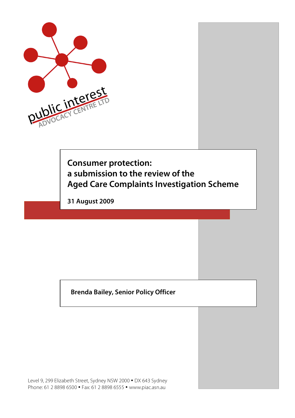

**Consumer protection: a submission to the review of the Aged Care Complaints Investigation Scheme**

**31 August 2009**

**Brenda Bailey, Senior Policy Officer**

Level 9, 299 Elizabeth Street, Sydney NSW 2000 • DX 643 Sydney Phone: 61 2 8898 6500 • Fax: 61 2 8898 6555 • www.piac.asn.au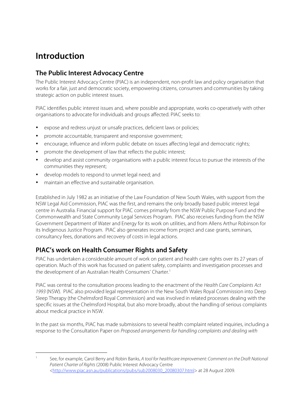# **Introduction**

# **The Public Interest Advocacy Centre**

The Public Interest Advocacy Centre (PIAC) is an independent, non-profit law and policy organisation that works for a fair, just and democratic society, empowering citizens, consumers and communities by taking strategic action on public interest issues.

PIAC identifies public interest issues and, where possible and appropriate, works co-operatively with other organisations to advocate for individuals and groups affected. PIAC seeks to:

- expose and redress unjust or unsafe practices, deficient laws or policies;
- promote accountable, transparent and responsive government;
- encourage, influence and inform public debate on issues affecting legal and democratic rights;
- promote the development of law that reflects the public interest;
- develop and assist community organisations with a public interest focus to pursue the interests of the communities they represent;
- develop models to respond to unmet legal need; and
- maintain an effective and sustainable organisation.

Established in July 1982 as an initiative of the Law Foundation of New South Wales, with support from the NSW Legal Aid Commission, PIAC was the first, and remains the only broadly based public interest legal centre in Australia. Financial support for PIAC comes primarily from the NSW Public Purpose Fund and the Commonwealth and State Community Legal Services Program. PIAC also receives funding from the NSW Government Department of Water and Energy for its work on utilities, and from Allens Arthur Robinson for its Indigenous Justice Program. PIAC also generates income from project and case grants, seminars, consultancy fees, donations and recovery of costs in legal actions.

# **PIAC's work on Health Consumer Rights and Safety**

PIAC has undertaken a considerable amount of work on patient and health care rights over its 27 years of operation. Much of this work has focussed on patient safety, complaints and investigation processes and the development of an Australian Health Consumers' Charter.<sup>1</sup>

PIAC was central to the consultation process leading to the enactment of the Health Care Complaints Act 1993 (NSW). PIAC also provided legal representation in the New South Wales Royal Commission into Deep Sleep Therapy (the Chelmsford Royal Commission) and was involved in related processes dealing with the specific issues at the Chelmsford Hospital, but also more broadly, about the handling of serious complaints about medical practice in NSW.

In the past six months, PIAC has made submissions to several health complaint related inquiries, including a response to the Consultation Paper on Proposed arrangements for handling complaints and dealing with

See, for example, Carol Berry and Robin Banks, A tool for healthcare improvement: Comment on the Draft National Patient Charter of Rights (2008) Public Interest Advocacy Centre <http://www.piac.asn.au/publications/pubs/sub2008030\_20080307.html> at 28 August 2009.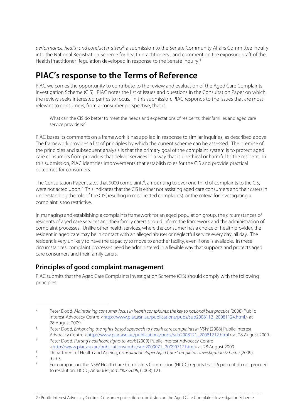performance, health and conduct matters<sup>2</sup>, a submission to the Senate Community Affairs Committee Inquiry into the National Registration Scheme for health practitioners<sup>3</sup>, and comment on the exposure draft of the Health Practitioner Regulation developed in response to the Senate Inquiry.<sup>4</sup>

# **PIAC's response to the Terms of Reference**

PIAC welcomes the opportunity to contribute to the review and evaluation of the Aged Care Complaints Investigation Scheme (CIS). PIAC notes the list of issues and questions in the Consultation Paper on which the review seeks interested parties to focus. In this submission, PIAC responds to the issues that are most relevant to consumers, from a consumer perspective, that is:

What can the CIS do better to meet the needs and expectations of residents, their families and aged care service providers?<sup>5</sup>

PIAC bases its comments on a framework it has applied in response to similar inquiries, as described above. The framework provides a list of principles by which the current scheme can be assessed. The premise of the principles and subsequent analysis is that the primary goal of the complaint system is to protect aged care consumers from providers that deliver services in a way that is unethical or harmful to the resident. In this submission, PIAC identifies improvements that establish roles for the CIS and provide practical outcomes for consumers.

The Consultation Paper states that 9000 complaints<sup>6</sup>, amounting to over one-third of complaints to the CIS, were not acted upon.<sup>7</sup> This indicates that the CIS is either not assisting aged care consumers and their carers in understanding the role of the CIS( resulting in misdirected complaints). or the criteria for investigating a complaint is too restrictive.

In managing and establishing a complaints framework for an aged population group, the circumstances of residents of aged care services and their family carers should inform the framework and the administration of complaint processes. Unlike other health services, where the consumer has a choice of health provider, the resident in aged care may be in contact with an alleged abuser or neglectful service every day, all day. The resident is very unlikely to have the capacity to move to another facility, even if one is available. In these circumstances, complaint processes need be administered in a flexible way that supports and protects aged care consumers and their family carers.

# **Principles of good complaint management**

PIAC submits that the Aged Care Complaints Investigation Scheme (CIS) should comply with the following principles:

2 • Public Interest Advocacy Centre • Consumer protection: submission on the Aged Care Complaints Investigation Scheme

<sup>&</sup>lt;sup>2</sup> Peter Dodd, Maintaining consumer focus in health complaints: the key to national best practice (2008) Public Interest Advocacy Centre <http://www.piac.asn.au/publications/pubs/sub2008112\_20081124.html> at 28 August 2009.

<sup>&</sup>lt;sup>3</sup> Peter Dodd, Enhancing the rights-based approach to health care complaints in NSW (2008) Public Interest Advocacy Centre <http://www.piac.asn.au/publications/pubs/sub2008121\_20081212.html> at 28 August 2009.

<sup>4</sup> Peter Dodd, Putting healthcare rights to work (2009) Public Interest Advocacy Centre <http://www.piac.asn.au/publications/pubs/sub2009071\_20090717.html> at 28 August 2009.

<sup>5</sup> Department of Health and Ageing, Consultation Paper Aged Care Complaints Investigation Scheme (2009).

 $\frac{6}{7}$  Ibid 3.

For comparison, the NSW Health Care Complaints Commission (HCCC) reports that 26 percent do not proceed to resolution: HCCC, Annual Report 2007-2008, (2008) 121.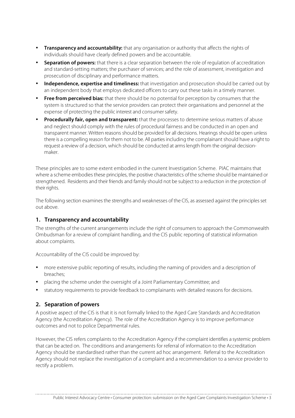- **Transparency and accountability:** that any organisation or authority that affects the rights of individuals should have clearly defined powers and be accountable.
- **Separation of powers:** that there is a clear separation between the role of regulation of accreditation and standard-setting matters; the purchaser of services; and the role of assessment, investigation and prosecution of disciplinary and performance matters.
- **Independence, expertise and timeliness:** that investigation and prosecution should be carried out by an independent body that employs dedicated officers to carry out these tasks in a timely manner.
- **Free from perceived bias:** that there should be no potential for perception by consumers that the system is structured so that the service providers can protect their organisations and personnel at the expense of protecting the public interest and consumer safety.
- **Procedurally fair, open and transparent:** that the processes to determine serious matters of abuse and neglect should comply with the rules of procedural fairness and be conducted in an open and transparent manner. Written reasons should be provided for all decisions. Hearings should be open unless there is a compelling reason for them not to be. All parties including the complainant should have a right to request a review of a decision, which should be conducted at arms length from the original decisionmaker.

These principles are to some extent embodied in the current Investigation Scheme. PIAC maintains that where a scheme embodies these principles, the positive characteristics of the scheme should be maintained or strengthened. Residents and their friends and family should not be subject to a reduction in the protection of their rights.

The following section examines the strengths and weaknesses of the CIS, as assessed against the principles set out above.

# **1. Transparency and accountability**

The strengths of the current arrangements include the right of consumers to approach the Commonwealth Ombudsman for a review of complaint handling, and the CIS public reporting of statistical information about complaints.

Accountability of the CIS could be improved by:

- more extensive public reporting of results, including the naming of providers and a description of breaches;
- placing the scheme under the oversight of a Joint Parliamentary Committee; and
- statutory requirements to provide feedback to complainants with detailed reasons for decisions.

# **2. Separation of powers**

A positive aspect of the CIS is that it is not formally linked to the Aged Care Standards and Accreditation Agency (the Accreditation Agency). The role of the Accreditation Agency is to improve performance outcomes and not to police Departmental rules.

However, the CIS refers complaints to the Accreditation Agency if the complaint identifies a systemic problem that can be acted on. The conditions and arrangements for referral of information to the Accreditation Agency should be standardised rather than the current ad hoc arrangement. Referral to the Accreditation Agency should not replace the investigation of a complaint and a recommendation to a service provider to rectify a problem.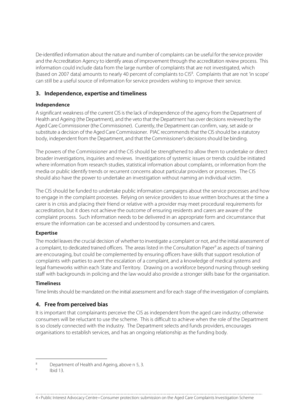De-identified information about the nature and number of complaints can be useful for the service provider and the Accreditation Agency to identify areas of improvement through the accreditation review process. This information could include data from the large number of complaints that are not investigated, which (based on 2007 data) amounts to nearly 40 percent of complaints to CIS<sup>8</sup>. Complaints that are not 'in scope' can still be a useful source of information for service providers wishing to improve their service.

# **3. Independence, expertise and timeliness**

### **Independence**

A significant weakness of the current CIS is the lack of independence of the agency from the Department of Health and Ageing (the Department), and the veto that the Department has over decisions reviewed by the Aged Care Commissioner (the Commissioner). Currently, the Department can confirm, vary, set aside or substitute a decision of the Aged Care Commissioner. PIAC recommends that the CIS should be a statutory body, independent from the Department, and that the Commissioner's decisions should be binding.

The powers of the Commissioner and the CIS should be strengthened to allow them to undertake or direct broader investigations, inquiries and reviews. Investigations of systemic issues or trends could be initiated where information from research studies, statistical information about complaints, or information from the media or public identify trends or recurrent concerns about particular providers or processes. The CIS should also have the power to undertake an investigation without naming an individual victim.

The CIS should be funded to undertake public information campaigns about the service processes and how to engage in the complaint processes. Relying on service providers to issue written brochures at the time a carer is in crisis and placing their friend or relative with a provider may meet procedural requirements for accreditation, but it does not achieve the outcome of ensuring residents and carers are aware of the complaint process. Such information needs to be delivered in an appropriate form and circumstance that ensure the information can be accessed and understood by consumers and carers.

# **Expertise**

The model leaves the crucial decision of whether to investigate a complaint or not, and the initial assessment of a complaint, to dedicated trained officers. The areas listed in the Consultation Paper<sup>9</sup> as aspects of training are encouraging, but could be complemented by ensuring officers have skills that support resolution of complaints with parties to avert the escalation of a complaint, and a knowledge of medical systems and legal frameworks within each State and Territory. Drawing on a workforce beyond nursing through seeking staff with backgrounds in policing and the law would also provide a stronger skills base for the organisation.

#### **Timeliness**

Time limits should be mandated on the initial assessment and for each stage of the investigation of complaints.

# **4. Free from perceived bias**

It is important that complainants perceive the CIS as independent from the aged care industry; otherwise consumers will be reluctant to use the scheme. This is difficult to achieve when the role of the Department is so closely connected with the industry. The Department selects and funds providers, encourages organisations to establish services, and has an ongoing relationship as the funding body.

4 • Public Interest Advocacy Centre • Consumer protection: submission on the Aged Care Complaints Investigation Scheme

<sup>&</sup>lt;sup>8</sup> Department of Health and Ageing, above n 5, 3.

Ibid 13.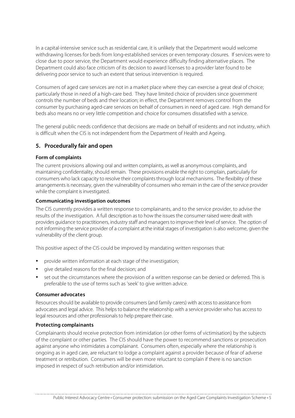In a capital-intensive service such as residential care, it is unlikely that the Department would welcome withdrawing licenses for beds from long-established services or even temporary closures. If services were to close due to poor service, the Department would experience difficulty finding alternative places. The Department could also face criticism of its decision to award licenses to a provider later found to be delivering poor service to such an extent that serious intervention is required.

Consumers of aged care services are not in a market place where they can exercise a great deal of choice; particularly those in need of a high-care bed. They have limited choice of providers since government controls the number of beds and their location; in effect, the Department removes control from the consumer by purchasing aged-care services on behalf of consumers in need of aged care. High demand for beds also means no or very little competition and choice for consumers dissatisfied with a service.

The general public needs confidence that decisions are made on behalf of residents and not industry, which is difficult when the CIS is not independent from the Department of Health and Ageing.

# **5. Procedurally fair and open**

### **Form of complaints**

The current provisions allowing oral and written complaints, as well as anonymous complaints, and maintaining confidentiality, should remain. These provisions enable the right to complain, particularly for consumers who lack capacity to resolve their complaints through local mechanisms. The flexibility of these arrangements is necessary, given the vulnerability of consumers who remain in the care of the service provider while the complaint is investigated.

### **Communicating investigation outcomes**

The CIS currently provides a written response to complainants, and to the service provider, to advise the results of the investigation. A full description as to how the issues the consumer raised were dealt with provides guidance to practitioners, industry staff and managers to improve their level of service. The option of not informing the service provider of a complaint at the initial stages of investigation is also welcome, given the vulnerability of the client group.

This positive aspect of the CIS could be improved by mandating written responses that:

- provide written information at each stage of the investigation;
- give detailed reasons for the final decision; and
- set out the circumstances where the provision of a written response can be denied or deferred. This is preferable to the use of terms such as 'seek' to give written advice.

#### **Consumer advocates**

Resources should be available to provide consumers (and family carers) with access to assistance from advocates and legal advice. This helps to balance the relationship with a service provider who has access to legal resources and other professionals to help prepare their case.

# **Protecting complainants**

Complainants should receive protection from intimidation (or other forms of victimisation) by the subjects of the complaint or other parties. The CIS should have the power to recommend sanctions or prosecution against anyone who intimidates a complainant. Consumers often, especially where the relationship is ongoing as in aged care, are reluctant to lodge a complaint against a provider because of fear of adverse treatment or retribution. Consumers will be even more reluctant to complain if there is no sanction imposed in respect of such retribution and/or intimidation.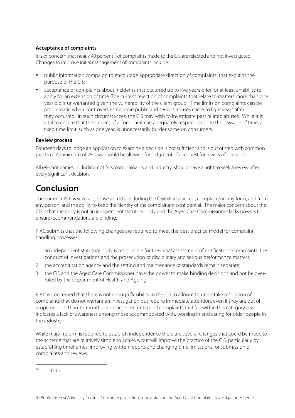# **Acceptance of complaints**

It is of concern that nearly 40 percent<sup>10</sup> of complaints made to the CIS are rejected and not investigated. Changes to improve initial management of complaints include:

- public information campaign to encourage appropriate direction of complaints, that explains the purpose of the CIS;
- acceptance of complaints about incidents that occurred up to five years prior, or at least an ability to apply for an extension of time. The current rejection of complaints that relate to matters more than one year old is unwarranted given the vulnerability of the client group. Time limits on complaints can be problematic when controversies become public and serious abuses came to light years after they occurred. In such circumstances, the CIS may wish to investigate past related abuses. While it is vital to ensure that the subject of a complaint can adequately respond despite the passage of time, a fixed time limit, such as one year, is unnecessarily burdensome on consumers.

# **Review process**

Fourteen days to lodge an application to examine a decision is not sufficient and is out of step with common practice. A minimum of 28 days should be allowed for lodgment of a request for review of decisions.

All relevant parties, including notifers, complainants and industry, should have a right to seek a review after every significant decision.

# **Conclusion**

The current CIS has several positive aspects, including the flexibility to accept complaints in any form, and from any person; and the ability to keep the identity of the complainant confidential. The major concern about the CIS is that the body is not an independent statutory body and the Aged Care Commissioner lacks powers to ensure recommendations are binding.

PIAC submits that the following changes are required to meet the best practice model for complainthandling processes:

- 1. an independent statutory body is responsible for the initial assessment of notifications/complaints, the conduct of investigations and the prosecution of disciplinary and serious performance matters;
- 2. the accredititation agency and the setting and maintenance of standards remain separate;
- 3. the CIS and the Aged Care Commissioner have the power to make binding decisions and not be overruled by the Department of Health and Ageing.

PIAC is concerned that there is not enough flexibility in the CIS to allow it to undertake resolution of complaints that do not warrant an investigation but require immediate attention, even if they are out of scope or older than 12 months. The large percentage of complaints that fall within this category also indicates a lack of awareness among those accommodated with, working in and caring for older people in the industry.

While major reform is required to establish independence there are several changes that could be made to the scheme that are relatively simple to achieve, but will improve the practice of the CIS, particularly by establishing timeframes, improving written reports and changing time limitations for submission of complaints and reviews.

6 • Public Interest Advocacy Centre • Consumer protection: submission on the Aged Care Complaints Investigation Scheme

 $10$  Ibid 3.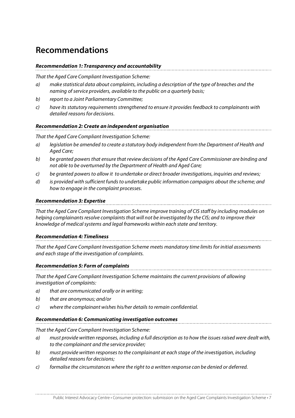# **Recommendations**

### **Recommendation 1: Transparency and accountability**

That the Aged Care Compliant Investigation Scheme:

- a) make statistical data about complaints, including a description of the type of breaches and the naming of service providers, available to the public on a quarterly basis;
- b) report to a Joint Parliamentary Committee;
- c) have its statutory requirements strengthened to ensure it provides feedback to complainants with detailed reasons for decisions.

### **Recommendation 2: Create an independent organisation**

That the Aged Care Compliant Investigation Scheme:

- a) legislation be amended to create a statutory body independent from the Department of Health and Aged Care;
- b) be granted powers that ensure that review decisions of the Aged Care Commissioner are binding and not able to be overturned by the Department of Health and Aged Care;
- c) be granted powers to allow it to undertake or direct broader investigations, inquiries and reviews;
- d) is provided with sufficient funds to undertake public information campaigns about the scheme; and how to engage in the complaint processes.

### **Recommendation 3: Expertise**

That the Aged Care Compliant Investigation Scheme improve training of CIS staff by including modules on helping complainants resolve complaints that will not be investigated by the CIS; and to improve their knowledge of medical systems and legal frameworks within each state and territory.

# **Recommendation 4: Timeliness**

That the Aged Care Compliant Investigation Scheme meets mandatory time limits for initial assessments and each stage of the investigation of complaints.

# **Recommendation 5: Form of complaints**

That the Aged Care Compliant Investigation Scheme maintains the current provisions of allowing investigation of complaints:

- a) that are communicated orally or in writing;
- b) that are anonymous; and/or
- c) where the complainant wishes his/her details to remain confidential.

# **Recommendation 6: Communicating investigation outcomes**

That the Aged Care Compliant Investigation Scheme:

- a) must provide written responses, including a full description as to how the issues raised were dealt with, to the complainant and the service provider;
- b) must provide written responses to the complainant at each stage of the investigation, including detailed reasons for decisions;
- c) formalise the circumstances where the right to a written response can be denied or deferred.